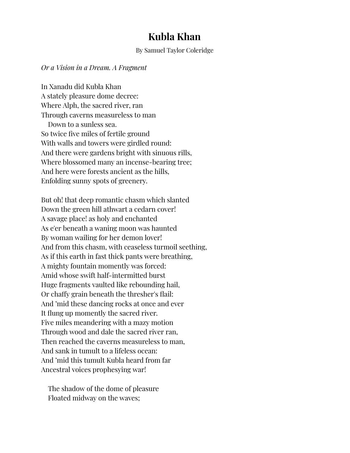## **Kubla Khan**

## By Samuel Taylor Coleridge

*Or a Vision in a Dream. A Fragment*

In Xanadu did Kubla Khan A stately pleasure dome decree: Where Alph, the sacred river, ran Through caverns measureless to man Down to a sunless sea. So twice five miles of fertile ground With walls and towers were girdled round: And there were gardens bright with sinuous rills, Where blossomed many an incense-bearing tree; And here were forests ancient as the hills, Enfolding sunny spots of greenery.

But oh! that deep romantic chasm which slanted Down the green hill athwart a cedarn cover! A savage place! as holy and enchanted As e'er beneath a waning moon was haunted By woman wailing for her demon lover! And from this chasm, with ceaseless turmoil seething, As if this earth in fast thick pants were breathing, A mighty fountain momently was forced: Amid whose swift half-intermitted burst Huge fragments vaulted like rebounding hail, Or chaffy grain beneath the thresher's flail: And 'mid these dancing rocks at once and ever It flung up momently the sacred river. Five miles meandering with a mazy motion Through wood and dale the sacred river ran, Then reached the caverns measureless to man, And sank in tumult to a lifeless ocean: And 'mid this tumult Kubla heard from far Ancestral voices prophesying war!

The shadow of the dome of pleasure Floated midway on the waves;